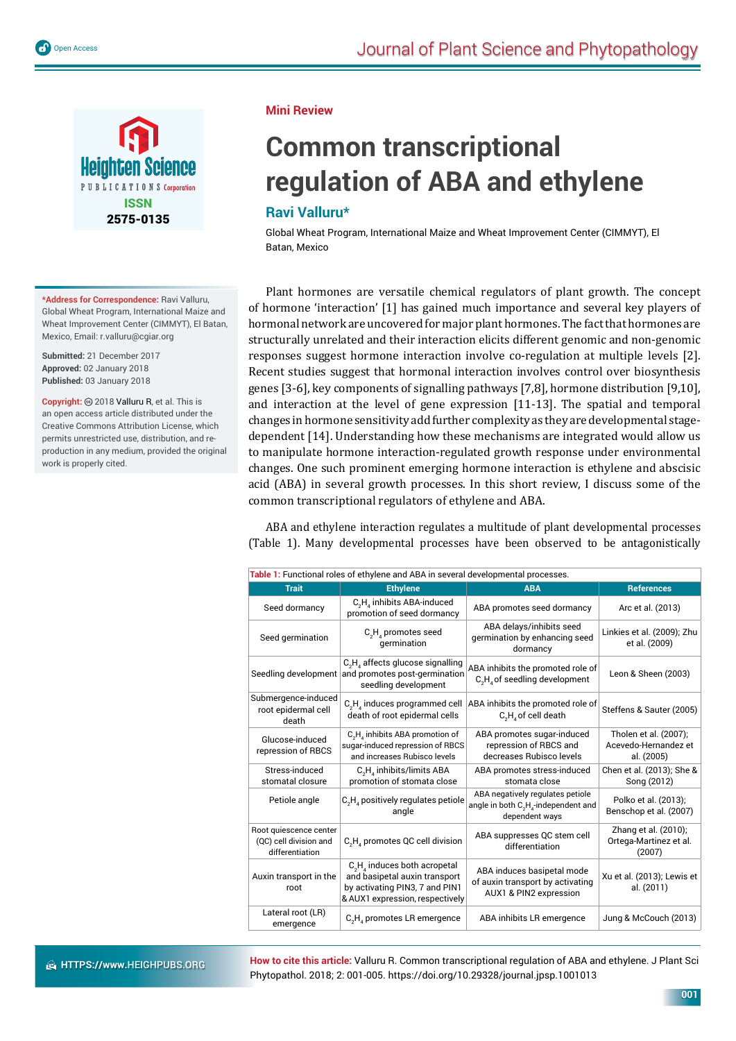



**\*Address for Correspondence:** Ravi Valluru, Global Wheat Program, International Maize and Wheat Improvement Center (CIMMYT), El Batan, Mexico, Email: r.valluru@cgiar.org

**Submitted:** 21 December 2017 **Approved:** 02 January 2018 **Published:** 03 January 2018

Copyright: @ 2018 Valluru R, et al. This is an open access article distributed under the Creative Commons Attribution License, which permits unrestricted use, distribution, and reproduction in any medium, provided the original work is properly cited.

#### **Mini Review**

# **Common transcriptional regulation of ABA and ethylene**

# **Ravi Valluru\***

Global Wheat Program, International Maize and Wheat Improvement Center (CIMMYT), El Batan, Mexico

Plant hormones are versatile chemical regulators of plant growth. The concept of hormone 'interaction' [1] has gained much importance and several key players of hormonal network are uncovered for major plant hormones. The fact that hormones are structurally unrelated and their interaction elicits different genomic and non-genomic responses suggest hormone interaction involve co-regulation at multiple levels [2]. Recent studies suggest that hormonal interaction involves control over biosynthesis genes [3-6], key components of signalling pathways [7,8], hormone distribution [9,10], and interaction at the level of gene expression [11-13]. The spatial and temporal changes in hormone sensitivity add further complexity as they are developmental stagedependent [14]. Understanding how these mechanisms are integrated would allow us to manipulate hormone interaction-regulated growth response under environmental changes. One such prominent emerging hormone interaction is ethylene and abscisic acid (ABA) in several growth processes. In this short review, I discuss some of the common transcriptional regulators of ethylene and ABA.

ABA and ethylene interaction regulates a multitude of plant developmental processes (Table 1). Many developmental processes have been observed to be antagonistically

| Table 1: Functional roles of ethylene and ABA in several developmental processes. |                                                                                                                                       |                                                                                                                    |                                                             |
|-----------------------------------------------------------------------------------|---------------------------------------------------------------------------------------------------------------------------------------|--------------------------------------------------------------------------------------------------------------------|-------------------------------------------------------------|
| <b>Trait</b>                                                                      | <b>Ethylene</b>                                                                                                                       | <b>ABA</b>                                                                                                         | <b>References</b>                                           |
| Seed dormancy                                                                     | C <sub>2</sub> H <sub>4</sub> inhibits ABA-induced<br>promotion of seed dormancy                                                      | ABA promotes seed dormancy                                                                                         | Arc et al. (2013)                                           |
| Seed germination                                                                  | $C_1H_2$ promotes seed<br>germination                                                                                                 | ABA delays/inhibits seed<br>germination by enhancing seed<br>dormancy                                              | Linkies et al. (2009); Zhu<br>et al. (2009)                 |
| Seedling development                                                              | $C_2H_4$ affects glucose signalling<br>and promotes post-germination<br>seedling development                                          | ABA inhibits the promoted role of<br>$C_2H_4$ of seedling development                                              | Leon & Sheen (2003)                                         |
| Submergence-induced<br>root epidermal cell<br>death                               | $C_2H_4$ induces programmed cell<br>death of root epidermal cells                                                                     | ABA inhibits the promoted role of<br>$C_2H_4$ of cell death                                                        | Steffens & Sauter (2005)                                    |
| Glucose-induced<br>repression of RBCS                                             | C <sub>2</sub> H <sub>4</sub> inhibits ABA promotion of<br>sugar-induced repression of RBCS<br>and increases Rubisco levels           | ABA promotes sugar-induced<br>repression of RBCS and<br>decreases Rubisco levels                                   | Tholen et al. (2007);<br>Acevedo-Hernandez et<br>al. (2005) |
| Stress-induced<br>stomatal closure                                                | $C_2H_4$ inhibits/limits ABA<br>promotion of stomata close                                                                            | ABA promotes stress-induced<br>stomata close                                                                       | Chen et al. (2013); She &<br>Song (2012)                    |
| Petiole angle                                                                     | C <sub>2</sub> H <sub>4</sub> positively regulates petiole<br>angle                                                                   | ABA negatively regulates petiole<br>angle in both C <sub>2</sub> H <sub>4</sub> -independent and<br>dependent ways | Polko et al. (2013);<br>Benschop et al. (2007)              |
| Root quiescence center<br>(QC) cell division and<br>differentiation               | C <sub>2</sub> H <sub>4</sub> promotes QC cell division                                                                               | ABA suppresses QC stem cell<br>differentiation                                                                     | Zhang et al. (2010);<br>Ortega-Martinez et al.<br>(2007)    |
| Auxin transport in the<br>root                                                    | $C_2H_4$ induces both acropetal<br>and basipetal auxin transport<br>by activating PIN3, 7 and PIN1<br>& AUX1 expression, respectively | ABA induces basipetal mode<br>of auxin transport by activating<br>AUX1 & PIN2 expression                           | Xu et al. (2013); Lewis et<br>al. (2011)                    |
| Lateral root (LR)<br>emergence                                                    | C <sub>2</sub> H <sub>4</sub> promotes LR emergence                                                                                   | ABA inhibits LR emergence                                                                                          | Jung & McCouch (2013)                                       |

**How to cite this article:** Valluru R. Common transcriptional regulation of ABA and ethylene. J Plant Sci Phytopathol. 2018; 2: 001-005. https://doi.org/10.29328/journal.jpsp.1001013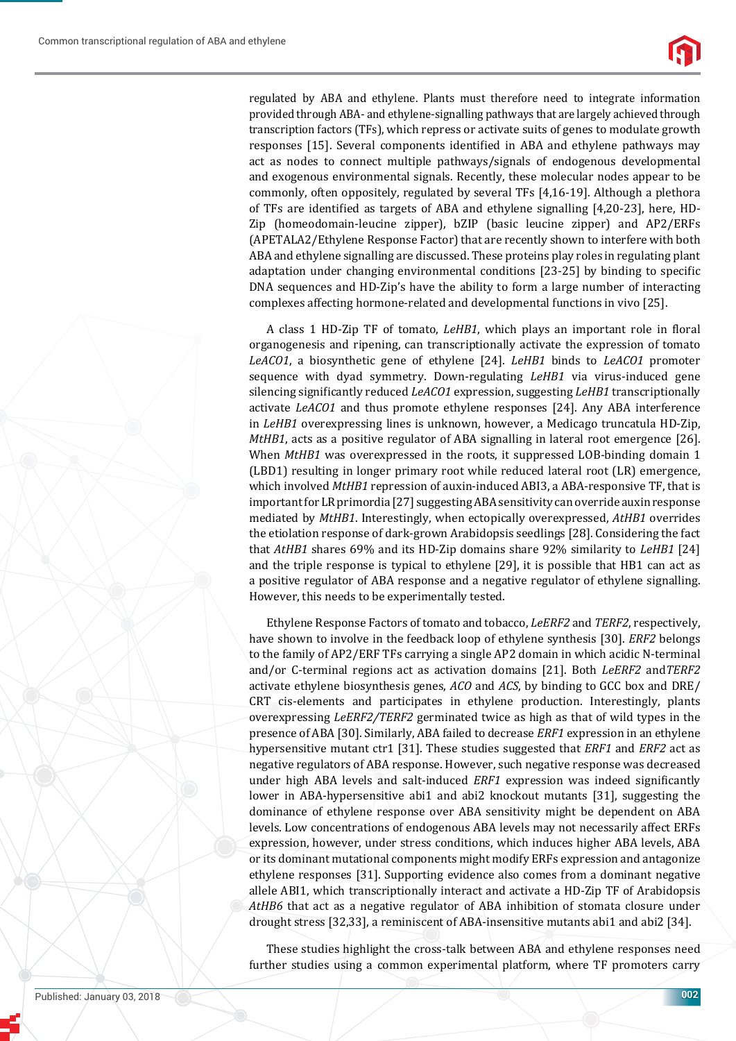regulated by ABA and ethylene. Plants must therefore need to integrate information provided through ABA- and ethylene-signalling pathways that are largely achieved through transcription factors (TFs), which repress or activate suits of genes to modulate growth responses [15]. Several components identified in ABA and ethylene pathways may act as nodes to connect multiple pathways/signals of endogenous developmental and exogenous environmental signals. Recently, these molecular nodes appear to be commonly, often oppositely, regulated by several TFs [4,16-19]. Although a plethora of TFs are identified as targets of ABA and ethylene signalling [4,20-23], here, HD-Zip (homeodomain-leucine zipper), bZIP (basic leucine zipper) and AP2/ERFs (APETALA2/Ethylene Response Factor) that are recently shown to interfere with both ABA and ethylene signalling are discussed. These proteins play roles in regulating plant adaptation under changing environmental conditions [23-25] by binding to specific DNA sequences and HD-Zip's have the ability to form a large number of interacting complexes affecting hormone-related and developmental functions in vivo [25].

A class 1 HD-Zip TF of tomato, *LeHB1*, which plays an important role in floral organogenesis and ripening, can transcriptionally activate the expression of tomato *LeACO1*, a biosynthetic gene of ethylene [24]. *LeHB1* binds to *LeACO1* promoter sequence with dyad symmetry. Down-regulating *LeHB1* via virus-induced gene silencing significantly reduced *LeACO1* expression, suggesting *LeHB1* transcriptionally activate *LeACO1* and thus promote ethylene responses [24]. Any ABA interference in *LeHB1* overexpressing lines is unknown, however, a Medicago truncatula HD-Zip, *MtHB1*, acts as a positive regulator of ABA signalling in lateral root emergence [26]. When *MtHB1* was overexpressed in the roots, it suppressed LOB-binding domain 1 (LBD1) resulting in longer primary root while reduced lateral root (LR) emergence, which involved *MtHB1* repression of auxin-induced ABI3, a ABA-responsive TF, that is important for LR primordia [27] suggesting ABA sensitivity can override auxin response mediated by *MtHB1*. Interestingly, when ectopically overexpressed, *AtHB1* overrides the etiolation response of dark-grown Arabidopsis seedlings [28]. Considering the fact that *AtHB1* shares 69% and its HD-Zip domains share 92% similarity to *LeHB1* [24] and the triple response is typical to ethylene [29], it is possible that HB1 can act as a positive regulator of ABA response and a negative regulator of ethylene signalling. However, this needs to be experimentally tested.

Ethylene Response Factors of tomato and tobacco, *LeERF2* and *TERF2*, respectively, have shown to involve in the feedback loop of ethylene synthesis [30]. *ERF2* belongs to the family of AP2/ERF TFs carrying a single AP2 domain in which acidic N-terminal and/or C-terminal regions act as activation domains [21]. Both *LeERF2* and*TERF2* activate ethylene biosynthesis genes, *ACO* and *ACS*, by binding to GCC box and DRE/ CRT cis-elements and participates in ethylene production. Interestingly, plants overexpressing *LeERF2/TERF2* germinated twice as high as that of wild types in the presence of ABA [30]. Similarly, ABA failed to decrease *ERF1* expression in an ethylene hypersensitive mutant ctr1 [31]. These studies suggested that *ERF1* and *ERF2* act as negative regulators of ABA response. However, such negative response was decreased under high ABA levels and salt-induced *ERF1* expression was indeed significantly lower in ABA-hypersensitive abi1 and abi2 knockout mutants [31], suggesting the dominance of ethylene response over ABA sensitivity might be dependent on ABA levels. Low concentrations of endogenous ABA levels may not necessarily affect ERFs expression, however, under stress conditions, which induces higher ABA levels, ABA or its dominant mutational components might modify ERFs expression and antagonize ethylene responses [31]. Supporting evidence also comes from a dominant negative allele ABI1, which transcriptionally interact and activate a HD-Zip TF of Arabidopsis *AtHB6* that act as a negative regulator of ABA inhibition of stomata closure under drought stress [32,33], a reminiscent of ABA-insensitive mutants abi1 and abi2 [34].

These studies highlight the cross-talk between ABA and ethylene responses need further studies using a common experimental platform, where TF promoters carry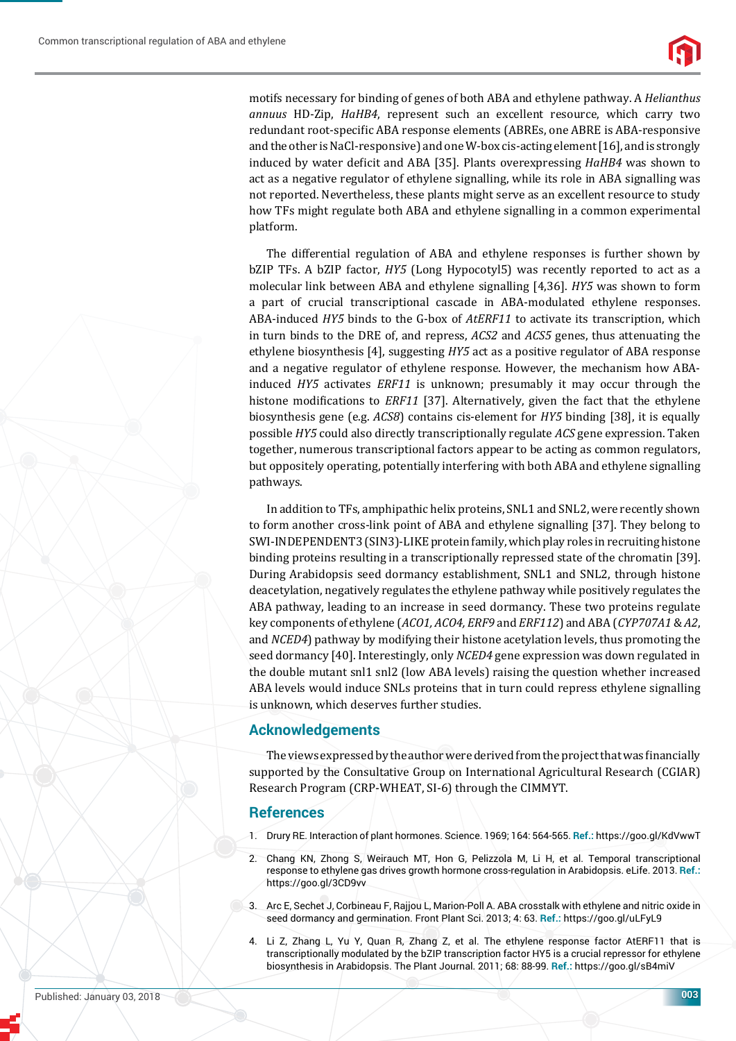

motifs necessary for binding of genes of both ABA and ethylene pathway. A *Helianthus annuus* HD-Zip, *HaHB4*, represent such an excellent resource, which carry two redundant root-specific ABA response elements (ABREs, one ABRE is ABA-responsive and the other is NaCl-responsive) and one W-box cis-acting element [16], and is strongly induced by water deficit and ABA [35]. Plants overexpressing *HaHB4* was shown to act as a negative regulator of ethylene signalling, while its role in ABA signalling was not reported. Nevertheless, these plants might serve as an excellent resource to study how TFs might regulate both ABA and ethylene signalling in a common experimental platform.

The differential regulation of ABA and ethylene responses is further shown by bZIP TFs. A bZIP factor, *HY5* (Long Hypocotyl5) was recently reported to act as a molecular link between ABA and ethylene signalling [4,36]. *HY5* was shown to form a part of crucial transcriptional cascade in ABA-modulated ethylene responses. ABA-induced *HY5* binds to the G-box of *AtERF11* to activate its transcription, which in turn binds to the DRE of, and repress, *ACS2* and *ACS5* genes, thus attenuating the ethylene biosynthesis [4], suggesting *HY5* act as a positive regulator of ABA response and a negative regulator of ethylene response. However, the mechanism how ABAinduced *HY5* activates *ERF11* is unknown; presumably it may occur through the histone modifications to *ERF11* [37]. Alternatively, given the fact that the ethylene biosynthesis gene (e.g. *ACS8*) contains cis-element for *HY5* binding [38], it is equally possible *HY5* could also directly transcriptionally regulate *ACS* gene expression. Taken together, numerous transcriptional factors appear to be acting as common regulators, but oppositely operating, potentially interfering with both ABA and ethylene signalling pathways.

In addition to TFs, amphipathic helix proteins, SNL1 and SNL2, were recently shown to form another cross-link point of ABA and ethylene signalling [37]. They belong to SWI-INDEPENDENT3 (SIN3)-LIKE protein family, which play roles in recruiting histone binding proteins resulting in a transcriptionally repressed state of the chromatin [39]. During Arabidopsis seed dormancy establishment, SNL1 and SNL2, through histone deacetylation, negatively regulates the ethylene pathway while positively regulates the ABA pathway, leading to an increase in seed dormancy. These two proteins regulate key components of ethylene (*ACO1, ACO4, ERF9* and *ERF112*) and ABA (*CYP707A1* & *A2*, and *NCED4*) pathway by modifying their histone acetylation levels, thus promoting the seed dormancy [40]. Interestingly, only *NCED4* gene expression was down regulated in the double mutant snl1 snl2 (low ABA levels) raising the question whether increased ABA levels would induce SNLs proteins that in turn could repress ethylene signalling is unknown, which deserves further studies.

## **Acknowledgements**

The views expressed by the author were derived from the project that was financially supported by the Consultative Group on International Agricultural Research (CGIAR) Research Program (CRP-WHEAT, SI-6) through the CIMMYT.

## **References**

- 1. Drury RE. Interaction of plant hormones. Science. 1969; 164: 564-565. **Ref.:** https://goo.gl/KdVwwT
- 2. Chang KN, Zhong S, Weirauch MT, Hon G, Pelizzola M, Li H, et al. Temporal transcriptional response to ethylene gas drives growth hormone cross-regulation in Arabidopsis. eLife. 2013. **Ref.:** https://goo.gl/3CD9vv
- 3. Arc E, Sechet J, Corbineau F, Rajjou L, Marion-Poll A. ABA crosstalk with ethylene and nitric oxide in seed dormancy and germination. Front Plant Sci. 2013; 4: 63. **Ref.:** https://goo.gl/uLFyL9
- 4. Li Z, Zhang L, Yu Y, Quan R, Zhang Z, et al. The ethylene response factor AtERF11 that is transcriptionally modulated by the bZIP transcription factor HY5 is a crucial repressor for ethylene biosynthesis in Arabidopsis. The Plant Journal. 2011; 68: 88-99. **Ref.:** https://goo.gl/sB4miV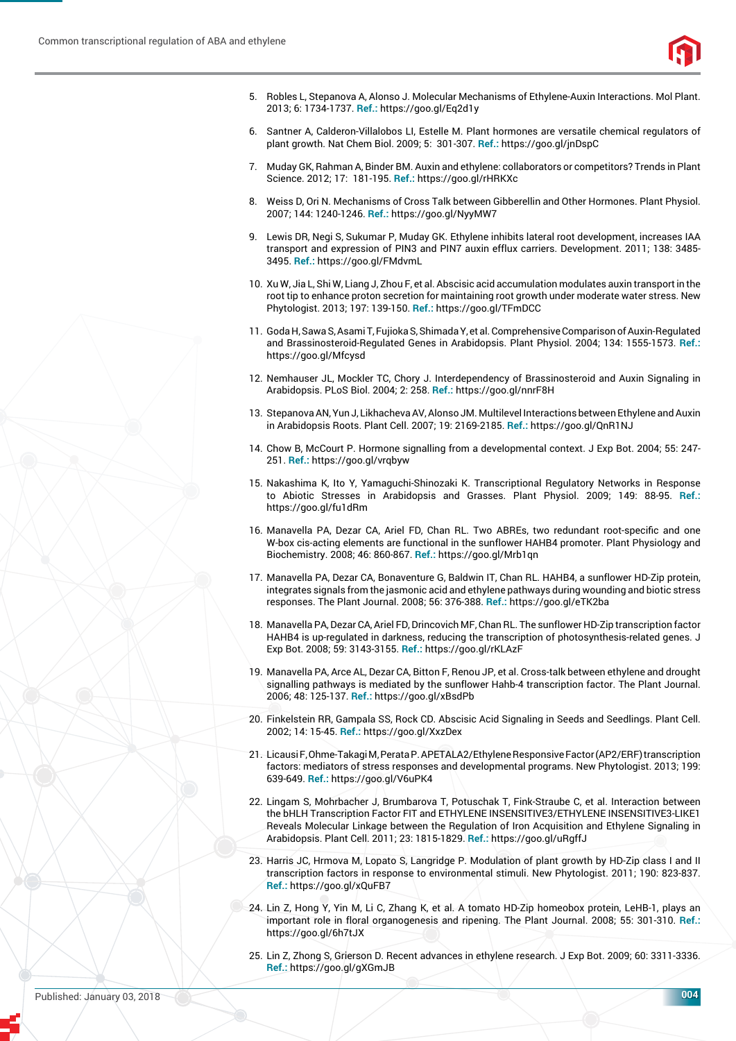

- 5. Robles L, Stepanova A, Alonso J. Molecular Mechanisms of Ethylene-Auxin Interactions. Mol Plant. 2013; 6: 1734-1737. **Ref.:** https://goo.gl/Eq2d1y
- 6. Santner A, Calderon-Villalobos LI, Estelle M. Plant hormones are versatile chemical regulators of plant growth. Nat Chem Biol. 2009; 5: 301-307. **Ref.:** https://goo.gl/jnDspC
- 7. Muday GK, Rahman A, Binder BM. Auxin and ethylene: collaborators or competitors? Trends in Plant Science. 2012; 17: 181-195. **Ref.:** https://goo.gl/rHRKXc
- 8. Weiss D, Ori N. Mechanisms of Cross Talk between Gibberellin and Other Hormones. Plant Physiol. 2007; 144: 1240-1246. **Ref.:** https://goo.gl/NyyMW7
- 9. Lewis DR, Negi S, Sukumar P, Muday GK. Ethylene inhibits lateral root development, increases IAA transport and expression of PIN3 and PIN7 auxin efflux carriers. Development. 2011; 138: 3485-3495. **Ref.:** https://goo.gl/FMdvmL
- 10. Xu W, Jia L, Shi W, Liang J, Zhou F, et al. Abscisic acid accumulation modulates auxin transport in the root tip to enhance proton secretion for maintaining root growth under moderate water stress. New Phytologist. 2013; 197: 139-150. **Ref.:** https://goo.gl/TFmDCC
- 11. Goda H, Sawa S, Asami T, Fujioka S, Shimada Y, et al. Comprehensive Comparison of Auxin-Regulated and Brassinosteroid-Regulated Genes in Arabidopsis. Plant Physiol. 2004; 134: 1555-1573. **Ref.:** https://goo.gl/Mfcysd
- 12. Nemhauser JL, Mockler TC, Chory J. Interdependency of Brassinosteroid and Auxin Signaling in Arabidopsis. PLoS Biol. 2004; 2: 258. **Ref.:** https://goo.gl/nnrF8H
- 13. Stepanova AN, Yun J, Likhacheva AV, Alonso JM. Multilevel Interactions between Ethylene and Auxin in Arabidopsis Roots. Plant Cell. 2007; 19: 2169-2185. **Ref.:** https://goo.gl/QnR1NJ
- 14. Chow B, McCourt P. Hormone signalling from a developmental context. J Exp Bot. 2004; 55: 247- 251. **Ref.:** https://goo.gl/vrqbyw
- 15. Nakashima K, Ito Y, Yamaguchi-Shinozaki K. Transcriptional Regulatory Networks in Response to Abiotic Stresses in Arabidopsis and Grasses. Plant Physiol. 2009; 149: 88-95. **Ref.:** https://goo.gl/fu1dRm
- 16. Manavella PA, Dezar CA, Ariel FD, Chan RL. Two ABREs, two redundant root-specific and one W-box cis-acting elements are functional in the sunflower HAHB4 promoter. Plant Physiology and Biochemistry. 2008; 46: 860-867. **Ref.:** https://goo.gl/Mrb1qn
- 17. Manavella PA, Dezar CA, Bonaventure G, Baldwin IT, Chan RL. HAHB4, a sunflower HD-Zip protein, integrates signals from the jasmonic acid and ethylene pathways during wounding and biotic stress responses. The Plant Journal. 2008; 56: 376-388. **Ref.:** https://goo.gl/eTK2ba
- 18. Manavella PA, Dezar CA, Ariel FD, Drincovich MF, Chan RL. The sunflower HD-Zip transcription factor HAHB4 is up-regulated in darkness, reducing the transcription of photosynthesis-related genes. J Exp Bot. 2008; 59: 3143-3155. **Ref.:** https://goo.gl/rKLAzF
- 19. Manavella PA, Arce AL, Dezar CA, Bitton F, Renou JP, et al. Cross-talk between ethylene and drought signalling pathways is mediated by the sunflower Hahb-4 transcription factor. The Plant Journal. 2006; 48: 125-137. **Ref.:** https://goo.gl/xBsdPb
- 20. Finkelstein RR, Gampala SS, Rock CD. Abscisic Acid Signaling in Seeds and Seedlings. Plant Cell. 2002; 14: 15-45. **Ref.:** https://goo.gl/XxzDex
- 21. Licausi F, Ohme-Takagi M, Perata P. APETALA2/Ethylene Responsive Factor (AP2/ERF) transcription factors: mediators of stress responses and developmental programs. New Phytologist. 2013; 199: 639-649. **Ref.:** https://goo.gl/V6uPK4
- 22. Lingam S, Mohrbacher J, Brumbarova T, Potuschak T, Fink-Straube C, et al. Interaction between the bHLH Transcription Factor FIT and ETHYLENE INSENSITIVE3/ETHYLENE INSENSITIVE3-LIKE1 Reveals Molecular Linkage between the Regulation of Iron Acquisition and Ethylene Signaling in Arabidopsis. Plant Cell. 2011; 23: 1815-1829. **Ref.:** https://goo.gl/uRgffJ
- 23. Harris JC, Hrmova M, Lopato S, Langridge P. Modulation of plant growth by HD-Zip class I and II transcription factors in response to environmental stimuli. New Phytologist. 2011; 190: 823-837. **Ref.:** https://goo.gl/xQuFB7
- 24. Lin Z, Hong Y, Yin M, Li C, Zhang K, et al. A tomato HD-Zip homeobox protein, LeHB-1, plays an important role in floral organogenesis and ripening. The Plant Journal. 2008; 55: 301-310. Ref.: https://goo.gl/6h7tJX
- 25. Lin Z, Zhong S, Grierson D. Recent advances in ethylene research. J Exp Bot. 2009; 60: 3311-3336. **Ref.:** https://goo.gl/gXGmJB